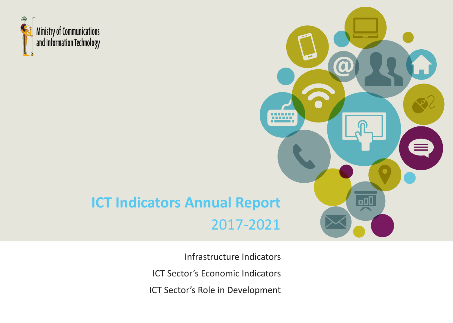

# **ICT Indicators Annual Report** 2017-2021

Infrastructure Indicators ICT Sector's Economic Indicators

**HANG** 

oOO

ICT Sector's Role in Development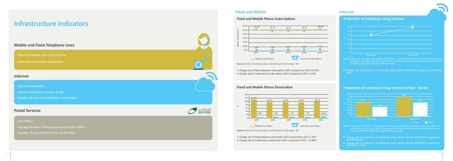- Fixed and Mobile Lines Subscriptions
- Fixed lines and Mobile Penetration

## **Infrastructure Indicators**

 $\aleph$ 



■ Change rate of fixed telephone subscriptions 2021 compared to 2017: 66.75%. Change rate of mobile phone subscriptions 2021 compared to 2017: 2.15%.

Change rate of fixed telephone penetration 2021 compared to 2017: 3.70%. ■ Change rate of mobile phone penetration 2021 compared to 2017: -11.86%.

### **Mobile and Fixed Telephone Lines**

#### **Internet**

- Internet Penetration
- Internet penetration (Urban-Rural)
- Mobile Internet and USB Modem Subscribers

### **Postal Services**

#### - Post Offices

- Average Number of People Served by Postal Offices
- Number of Instant Postal Financial Transfers

**Source:** "Survey of ICT usage in household and individuals," conducted by the Ministry of Communications and Information Technology (MCIT) in cooperation with the Central Agency for Public Mobilization and Statistics (CAPMAS), 2019/2020, included 15000 households.

 Change rate of proportion of individuals using internet 2019/2020 compared to 2015/2016: 16%.

#### **Proportion of Individuals Using Internet**

**Source:** "Survey of ICT usage in household and individuals," conducted by the Ministry of Communications and Information Technology (MCIT) in cooperation with the Central Agency for Public Mobilization and Statistics (CAPMAS), 2019/2020, included 15000 households.

- Change rate of proportion of individuals using internet (Urban) 2019/2020 compared to 2015/2016: 19%.
- Change rate of proportion of individuals using internet (Rural) 2019/2020 compared to 2015/2016: 13.6%.

#### **Proportion of Individuals Using Internet (Urban - Rural)**

**Source:** Ministry of Communications and Information Technology – WE

#### **Fixed and Mobile Phone Penetration**

 $\aleph$ 

**Source:** Ministry of Communications and Information Technology – WE

#### **Fixed and Mobile Phone Subscriptions**







## **Fixed and Mobile Internet**





![](_page_1_Figure_31.jpeg)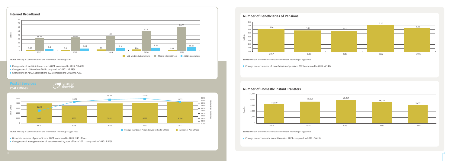**Source:** Ministry of Communications and Information Technology – WE

- Change rate of mobile internet users 2021 compared to 2017: 93.46%.
- Change rate of USB modem 2021 compared to 2017: -36.48%.
- 

![](_page_2_Figure_9.jpeg)

#### **Internet Broadband**

#### **Source:** Ministry of Communications and Information Technology – Egypt Post

Growth in number of post offices in 2021 compared to 2017: 248 offices

Change rate of average number of people served by post office in 2021 compared to 2017: 7.54%

## **Postal Services**

**Post Offices**

![](_page_2_Figure_8.jpeg)

![](_page_2_Figure_1.jpeg)

**Source:** Ministry of Communications and Information Technology – Egypt Post

Change rate of domestic instant transfers 2021 compared to 2017: -5.41%

■ Change rate of number of beneficiaries of pensions 2021 compared to 2017: 4.14%

**Source:** Ministry of Communications and Information Technology – Egypt Post

#### **Number of Domestic Instant Transfers**

![](_page_2_Figure_18.jpeg)

![](_page_2_Figure_14.jpeg)

#### **Number of Beneficiaries of Pensions**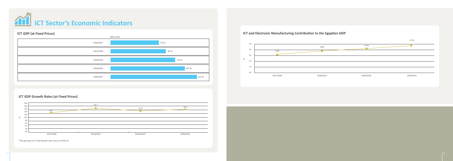![](_page_3_Picture_0.jpeg)

![](_page_3_Figure_1.jpeg)

### **ICT GDP Growth Rates (at Fixed Prices)**

![](_page_3_Figure_5.jpeg)

\*The decrease in ICT GDP growth rate is due to COVID-19.

### **ICT and Electronic Manufacturing Contribution to the Egyptian GDP**

![](_page_3_Figure_3.jpeg)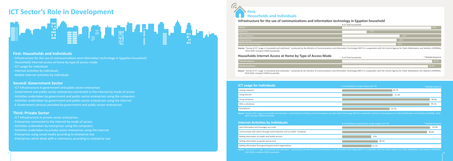### **Infrastructure for the use of communications and information technology in Egyptian household**

| Mobile                  |  |
|-------------------------|--|
| <b>Fixed Line</b>       |  |
| <b>With Computers</b>   |  |
| <b>Using Internet</b>   |  |
| Internet Access at Home |  |

# **First: Households and Individuals**

Source: "Survey of ICT usage in household and individuals," conducted by the Ministry of Communications and Information Technology (MCIT) in cooperation with the Central Agency for Public Mobilization and Statistics (CAPMA 2019-2020, included 15000 households.

#### **Households Internet Access at Home by Type of Access Mode**

| ed Broadband |  |
|--------------|--|
|              |  |
|              |  |

| de | % of Total Households | * Multiple Response |
|----|-----------------------|---------------------|
|    |                       | 49 2%               |
|    |                       | 46.9%               |

Source: "Survey of ICT usage in household and individuals," conducted by the Ministry of Communications and Information Technology (MCIT) in cooperation with the Central Agency for Public Mobilization and Statistics (CAPMA

Source: "Survey of ICT usage in household and individuals," conducted by the Ministry of Communications and Information Technology (MCIT) in cooperation with the Central Agency for Public Mobilization and Statistics (CAPMA

Source: "Survey of ICT usage in household and individuals," conducted by the Ministry of Communications and Information Technology (MCIT) in cooperation with the Central Agency for Public Mobilization and Statistics (CAPMA 2019-2020, included 15000 households.

| <b>ividuals</b>                   | % of individuals using internet at age category (15-74) | * Multiple Response |
|-----------------------------------|---------------------------------------------------------|---------------------|
|                                   |                                                         | 93.9%               |
| etworks such as twitter- Facebook |                                                         | 90.8%               |
| services                          | 31%                                                     |                     |
|                                   | 38.1%                                                   |                     |
| ent organizations                 | 31.1%                                                   |                     |

2019-2020, included 15000 households.

| <b>ICT usage for Individuals</b> | % of individuals at age category (15-74)<br>* Multiple Response |
|----------------------------------|-----------------------------------------------------------------|
| Useing computer                  | 56.7%                                                           |
| Using internet                   | 57.3%                                                           |
| Using cell phone                 | 99.4%                                                           |
| With a cell phone                | 99.1%                                                           |
| Smartphone                       | 53.7%                                                           |

| % of Total Households |      |
|-----------------------|------|
|                       | 98.8 |
| 27.6                  |      |
| 64.0                  |      |
| 60.9                  |      |
| 59.9                  |      |

2020, included 15000 households.

#### **Internet Activities by Indi**

Send information and messages via e-mail

Communicate with others through social networks

Getting information on health and health

- ICT Infrastructure in private sector enterprises
- Enterprises connected to the internet by mode of access
- Activities undertaken by enterprises using the computers
- Activities undertaken by private sector enterprises using the internet
- Enterprises using social media according to enterprise size
- Enterprises which deals with e-commerce according to enterprise size

Getting information on goods and services

Getting information from general governm

# **ICT Sector's Role in Development**

![](_page_4_Figure_1.jpeg)

#### **First: Households and Individuals**

- Infrastructure for the use of communications and information technology in Egyptian household
- Households Internet access at home by type of access mode
- ICT usage for individuals
- Internet activities by individuals
- Mobile Internet activities by individuals

### **Second: Government Sector**

- ICT Infrastructure in government and public sector enterprises
- Government and public-sector enterprises connected to the internet by mode of access
- Activities undertaken by government and public-sector enterprises using the computers
- Activities undertaken by government and public-sector enterprises using the Internet
- E-Government services provided by government and public-sector enterprises

#### **Third: Private Sector**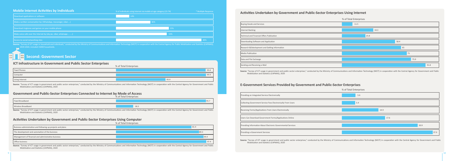Source: "Survey of ICT usage in household and individuals," conducted by the Ministry of Communications and Information Technology (MCIT) in cooperation with the Central Agency for Public Mobilization and Statistics (CAPMA 2019-2020, included 15000 households.

### **H** Second: Government Sector

Source: "Survey of ICT usage in government and public sector enterprises," conducted by the Ministry of Communications and Information Technology (MCIT) in cooperation with the Central Agency for Government and Public Mobilization and Statistics (CAPMAS), 2020

#### **ICT Infrastructure in Government and Public Sector Enterprises**

Source: "Survey of ICT usage in government and public sector enterprises," conducted by the Ministry of Communications and Information Technology (MCIT) in cooperation with the Central Agency for Government and Public Mobilization and Statistics (CAPMAS), 2020

#### **Activities Undertaken by Government and Public-Sector Enterprises Using Computer**

Source: "Survey of ICT usage in government and public sector enterprises," conducted by the Ministry of Communications and Information Technology (MCIT) in cooperation with the Central Agency for Government and Public Mobilization and Statistics (CAPMAS), 2020

#### **Government and Public-Sector Enterprises Connected to Internet by Mode of Access**

![](_page_5_Figure_0.jpeg)

![](_page_5_Figure_12.jpeg)

|                | % of Total Enterprises |
|----------------|------------------------|
| Fixed Phones   | 99.8                   |
| Computer       | 99.9                   |
| Using Internet | 95.9                   |

% of Total Enterprises

| Fixed Broadband    | 95.7 |
|--------------------|------|
| Wireless Broadband | 18.3 |

% of Total Enterprises

#### **Activities Undertaken by Government and Public-Sector Enterprises Using Internet**

![](_page_5_Figure_17.jpeg)

ent and public sector enterprises," conducted by the Ministry of Communications and Information Technology (MCIT) in cooperation with the Central Agency for Government and Public MAS), 2020

#### **Provided by Government and Public-Sector Enterprises**

| <b>Buying Goods and Services</b>                                                                                                                                                                                                                                          |  |
|---------------------------------------------------------------------------------------------------------------------------------------------------------------------------------------------------------------------------------------------------------------------------|--|
| Internet Banking                                                                                                                                                                                                                                                          |  |
| Technical and Financial Offers Publication                                                                                                                                                                                                                                |  |
| Downloading Software and Application                                                                                                                                                                                                                                      |  |
| Research & Ddevlopment and Getting Information                                                                                                                                                                                                                            |  |
| <b>Media Publication</b>                                                                                                                                                                                                                                                  |  |
| Data and File Exchange                                                                                                                                                                                                                                                    |  |
| Sending and Receiving e-Mail                                                                                                                                                                                                                                              |  |
| Source: "Survey of ICT usage in government and<br>Mobilization and Statistics (CAPMAS), 202                                                                                                                                                                               |  |
|                                                                                                                                                                                                                                                                           |  |
|                                                                                                                                                                                                                                                                           |  |
| Collecting Government Service Fees Electronically                                                                                                                                                                                                                         |  |
|                                                                                                                                                                                                                                                                           |  |
| Receiving Forms/Applications From Users Electror<br>Users Can Download Government Forms/Applicat                                                                                                                                                                          |  |
|                                                                                                                                                                                                                                                                           |  |
|                                                                                                                                                                                                                                                                           |  |
| <b>E-Government Services Provi</b><br>Providing an Integrated Service Electronically<br>Providing Information About Electronic Governme<br>Providing e-Government Services<br>Source: "Survey of ICT usage in government and<br>Mobilization and Statistics (CAPMAS), 202 |  |

![](_page_5_Figure_20.jpeg)

nent and public sector enterprises," conducted by the Ministry of Communications and Information Technology (MCIT) in cooperation with the Central Agency for Government and Public AAS), 2020

m